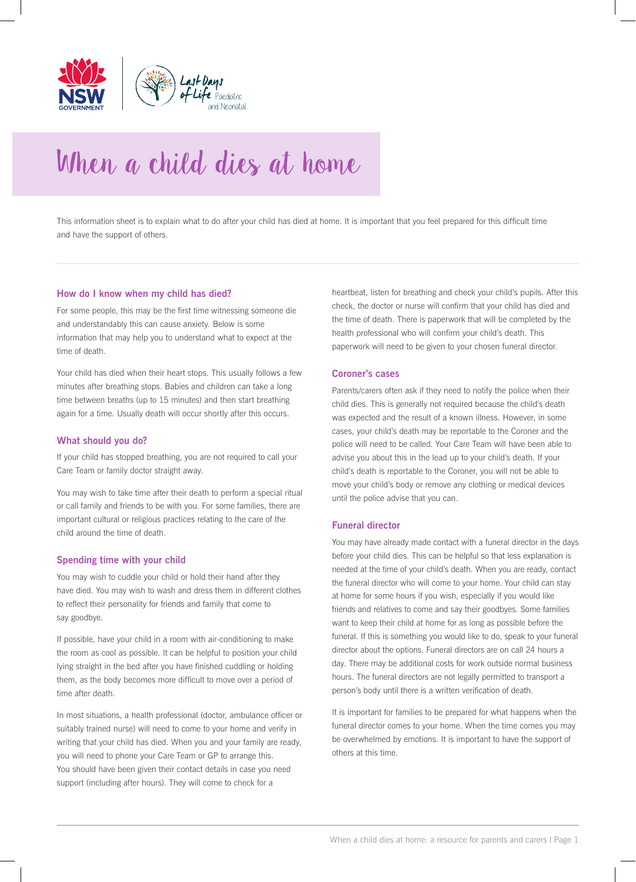

# When a child dies at home

This information sheet is to explain what to do after your child has died at home. It is important that you feel prepared for this difficult time and have the support of others.

## **How do I know when my child has died?**

For some people, this may be the first time witnessing someone die and understandably this can cause anxiety. Below is some information that may help you to understand what to expect at the time of death.

Your child has died when their heart stops. This usually follows a few minutes after breathing stops. Babies and children can take a long time between breaths (up to 15 minutes) and then start breathing again for a time. Usually death will occur shortly after this occurs.

## **What should you do?**

If your child has stopped breathing, you are not required to call your Care Team or family doctor straight away.

You may wish to take time after their death to perform a special ritual or call family and friends to be with you. For some families, there are important cultural or religious practices relating to the care of the child around the time of death.

## **Spending time with your child**

You may wish to cuddle your child or hold their hand after they have died. You may wish to wash and dress them in different clothes to reflect their personality for friends and family that come to say goodbye.

If possible, have your child in a room with air-conditioning to make the room as cool as possible. It can be helpful to position your child lying straight in the bed after you have finished cuddling or holding them, as the body becomes more difficult to move over a period of time after death.

In most situations, a health professional (doctor, ambulance officer or suitably trained nurse) will need to come to your home and verify in writing that your child has died. When you and your family are ready, you will need to phone your Care Team or GP to arrange this. You should have been given their contact details in case you need support (including after hours). They will come to check for a

heartbeat, listen for breathing and check your child's pupils. After this check, the doctor or nurse will confirm that your child has died and the time of death. There is paperwork that will be completed by the health professional who will confirm your child's death. This paperwork will need to be given to your chosen funeral director.

#### **Coroner's cases**

Parents/carers often ask if they need to notify the police when their child dies. This is generally not required because the child's death was expected and the result of a known illness. However, in some cases, your child's death may be reportable to the Coroner and the police will need to be called. Your Care Team will have been able to advise you about this in the lead up to your child's death. If your child's death is reportable to the Coroner, you will not be able to move your child's body or remove any clothing or medical devices until the police advise that you can.

#### **Funeral director**

You may have already made contact with a funeral director in the days before your child dies. This can be helpful so that less explanation is needed at the time of your child's death. When you are ready, contact the funeral director who will come to your home. Your child can stay at home for some hours if you wish, especially if you would like friends and relatives to come and say their goodbyes. Some families want to keep their child at home for as long as possible before the funeral. If this is something you would like to do, speak to your funeral director about the options. Funeral directors are on call 24 hours a day. There may be additional costs for work outside normal business hours. The funeral directors are not legally permitted to transport a person's body until there is a written verification of death.

It is important for families to be prepared for what happens when the funeral director comes to your home. When the time comes you may be overwhelmed by emotions. It is important to have the support of others at this time.